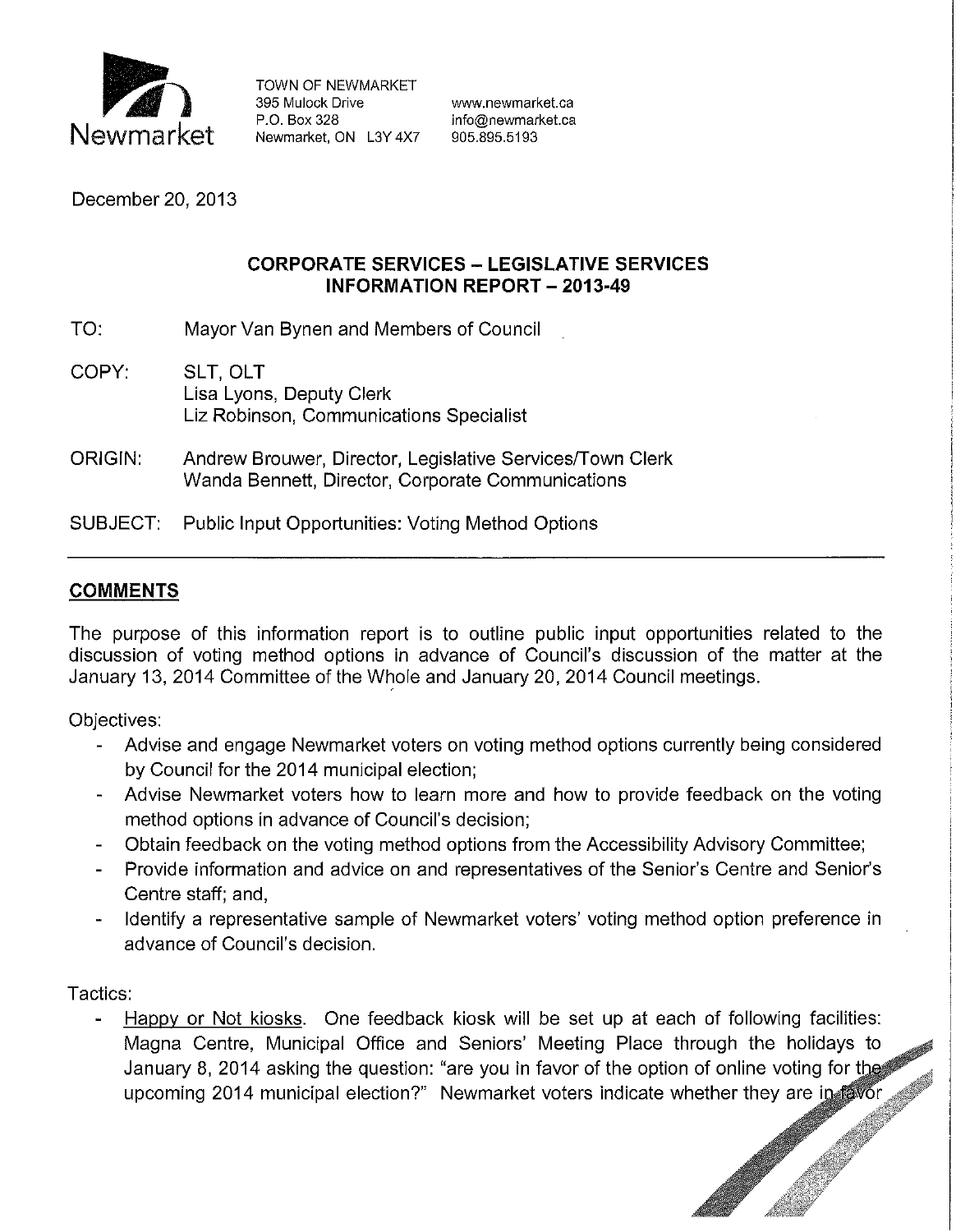

TOWN OF NEWMARKET<br>395 Mulock Drive 395 Mulock Drive www.newmarket.ca<br>P.O. Box 328 mfo@newmarket.ca Newmarket, ON L3Y 4X7

info@newmarket.ca<br>905.895.5193

December 20, 2013

## **CORPORATE SERVICES- LEGISLATIVE SERVICES INFORMATION REPORT - 2013-49**

TO: Mayor Van Bynen and Members of Council

- COPY: SLT, OLT Lisa Lyons, Deputy Clerk Liz Robinson, Communications Specialist
- ORIGIN: Andrew Brouwer, Director, Legislative Services/Town Clerk Wanda Bennett, Director, Corporate Communications

SUBJECT: Public Input Opportunities: Voting Method Options

# **COMMENTS**

The purpose of this information report is to outline public input opportunities related to the discussion of voting method options in advance of Council's discussion of the matter at the January 13, 2014 Committee of the Whole and January 20, 2014 Council meetings.

Objectives:

- Advise and engage Newmarket voters on voting method options currently being considered by Council for the 2014 municipal election;
- Advise Newmarket voters how to learn more and how to provide feedback on the voting method options in advance of Council's decision;
- Obtain feedback on the voting method options from the Accessibility Advisory Committee;
- Provide information and advice on and representatives of the Senior's Centre and Senior's Centre staff; and,
- Identify a representative sample of Newmarket voters' voting method option preference in advance of Council's decision.

Tactics:

Magna Centre, Municipal Office and Seniors' Meeting Place through the holidays to Happy or Not kiosks. One feedback kiosk will be set up at each of following facilities: January 8, 2014 asking the question: "are you in favor of the option of online voting for the upcoming 2014 municipal election?" Newmarket voters indicate whether they are in favor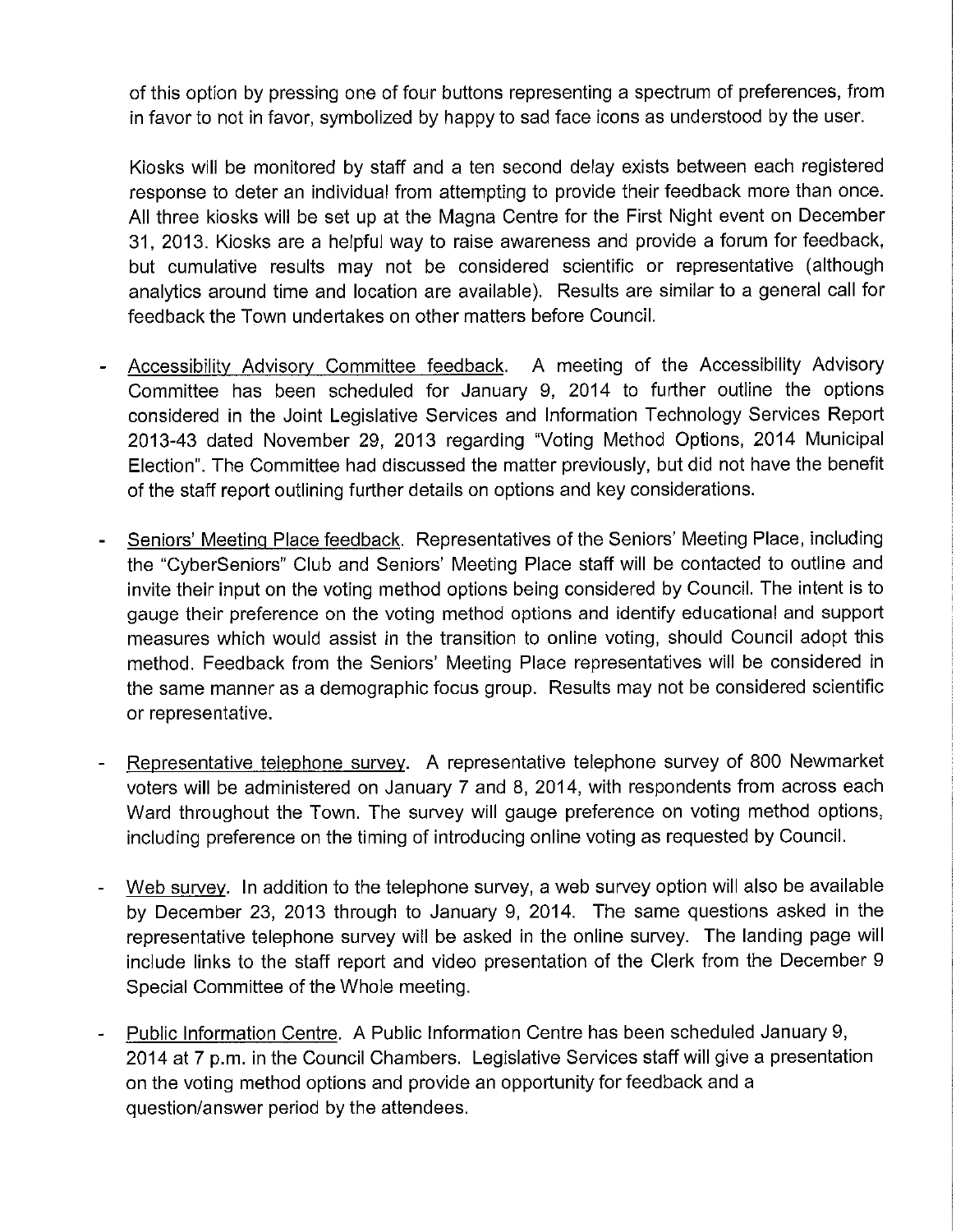of this option by pressing one of four buttons representing a spectrum of preferences, from in favor to not in favor, symbolized by happy to sad face icons as understood by the user.

Kiosks will be monitored by staff and a ten second delay exists between each registered response to deter an individual from attempting to provide their feedback more than once. All three kiosks will be set up at the Magna Centre for the First Night event on December 31, 2013. Kiosks are a helpful way to raise awareness and provide a forum for feedback, but cumulative results may not be considered scientific or representative (although analytics around time and location are available). Results are similar to a general call for feedback the Town undertakes on other matters before Council.

- Accessibility Advisory Committee feedback. A meeting of the Accessibility Advisory Committee has been scheduled for January 9, 2014 to further outline the options considered in the Joint Legislative Services and Information Technology Services Report 2013-43 dated November 29, 2013 regarding "Voting Method Options, 2014 Municipal Election". The Committee had discussed the matter previously, but did not have the benefit of the staff report outlining further details on options and key considerations.
- Seniors' Meeting Place feedback. Representatives of the Seniors' Meeting Place, including the "CyberSeniors" Club and Seniors' Meeting Place staff will be contacted to outline and invite their input on the voting method options being considered by Council. The intent is to gauge their preference on the voting method options and identify educational and support measures which would assist in the transition to online voting, should Council adopt this method. Feedback from the Seniors' Meeting Place representatives will be considered in the same manner as a demographic focus group. Results may not be considered scientific or representative.
- Representative telephone survey. A representative telephone survey of 800 Newmarket voters will be administered on January 7 and 8, 2014, with respondents from across each Ward throughout the Town. The survey will gauge preference on voting method options, including preference on the timing of introducing online voting as requested by Council.
- Web survey. In addition to the telephone survey, a web survey option will also be available by December 23, 2013 through to January 9, 2014. The same questions asked in the representative telephone survey will be asked in the online survey. The landing page will include links to the staff report and video presentation of the Clerk from the December 9 Special Committee of the Whole meeting.
- Public Information Centre. A Public Information Centre has been scheduled January 9, 2014 at 7 p.m. in the Council Chambers. Legislative Services staff will give a presentation on the voting method options and provide an opportunity for feedback and a question/answer period by the attendees.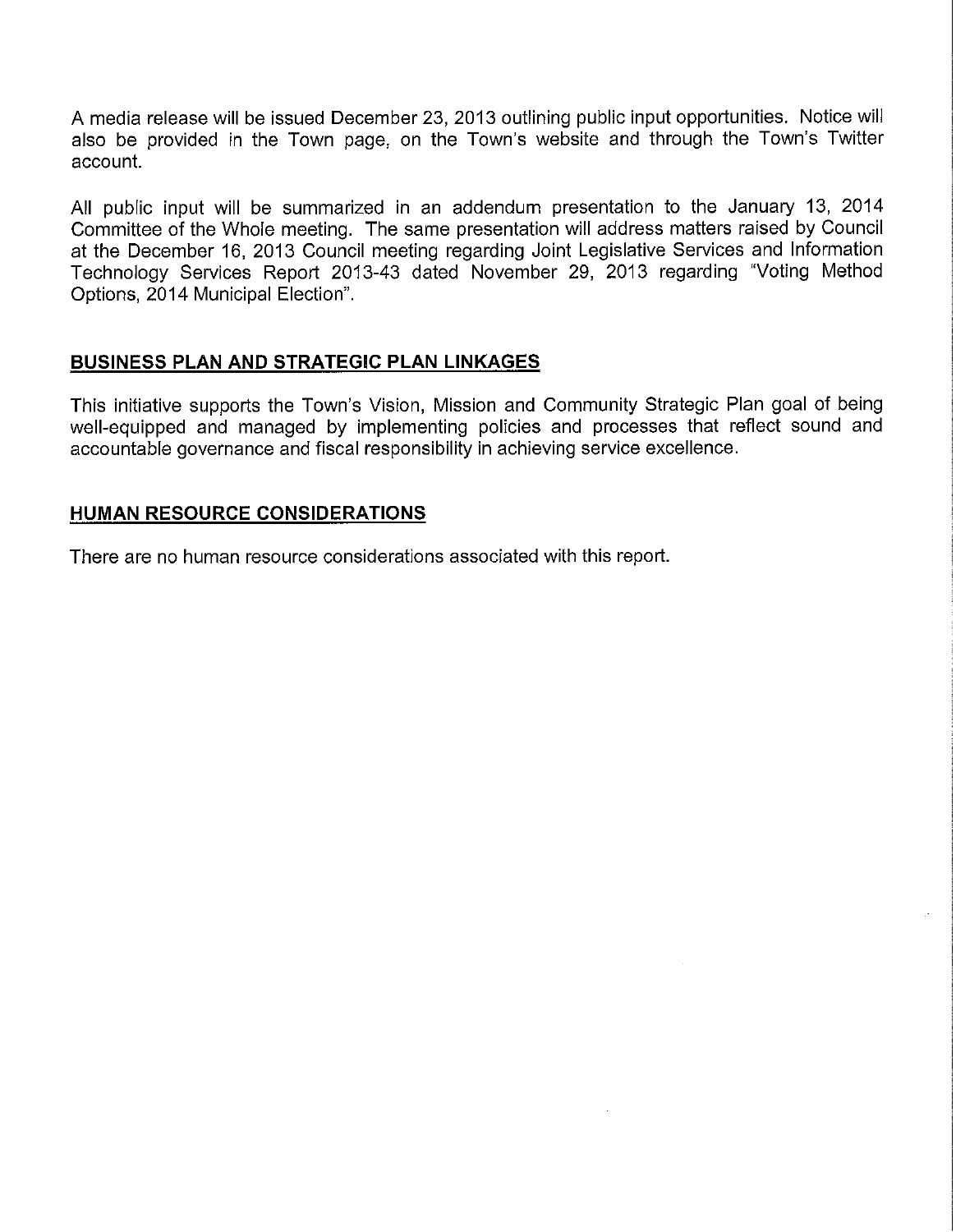A media release will be issued December 23, 2013 outlining public input opportunities. Notice will also be provided in the Town page, on the Town's website and through the Town's Twitter account.

All public input will be summarized in an addendum presentation to the January 13, 2014 Committee of the Whole meeting. The same presentation will address matters raised by Council at the December 16, 2013 Council meeting regarding Joint Legislative Services and Information Technology Services Report 2013-43 dated November 29, 2013 regarding "Voting Method Options, 2014 Municipal Election".

### **BUSINESS PLAN AND STRATEGIC PLAN LINKAGES**

This initiative supports the Town's Vision, Mission and Community Strategic Plan goal of being well-equipped and managed by implementing policies and processes that reflect sound and accountable governance and fiscal responsibility in achieving service excellence.

### **HUMAN RESOURCE CONSIDERATIONS**

There are no human resource considerations associated with this report.